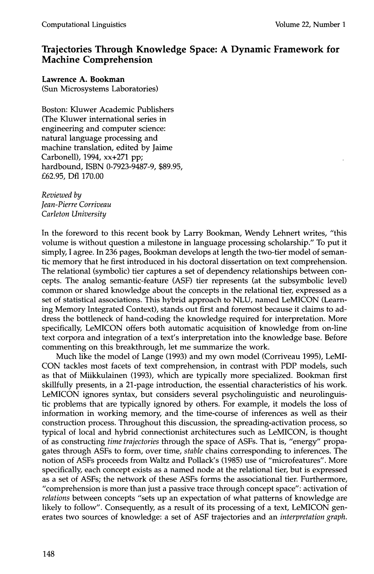# **Trajectories Through Knowledge Space: A Dynamic Framework for Machine Comprehension**

## **Lawrence A. Bookman**

(Sun Microsystems Laboratories)

Boston: Kluwer Academic Publishers (The Kluwer international series in engineering and computer science: natural language processing and machine translation, edited by Jaime Carbonell), 1994, xx+271 pp; hardbound, ISBN 0-7923-9487-9, \$89.95, £62.95, Dfl 170.00

*Reviewed by Jean-Pierre Corriveau Carleton University* 

In the foreword to this recent book by Larry Bookman, Wendy Lehnert writes, "this volume is without question a milestone in language processing scholarship." To put it simply, I agree. In 236 pages, Bookman develops at length the two-tier model of semantic memory that he first introduced in his doctoral dissertation on text comprehension. The relational (symbolic) tier captures a set of dependency relationships between concepts. The analog semantic-feature (ASF) tier represents (at the subsymbolic level) common or shared knowledge about the concepts in the relational tier, expressed as a set of statistical associations. This hybrid approach to NLU, named LeMICON (Learning Memory Integrated Context), stands out first and foremost because it claims to address the bottleneck of hand-coding the knowledge required for interpretation. More specifically, LeMICON offers both automatic acquisition of knowledge from on-line text corpora and integration of a text's interpretation into the knowledge base. Before commenting on this breakthrough, let me summarize the work.

Much like the model of Lange (1993) and my own model (Corriveau 1995), LeMI-CON tackles most facets of text comprehension, in contrast with PDP models, such as that of Miikkulainen (1993), which are typically more specialized. Bookman first skillfully presents, in a 21-page introduction, the essential characteristics of his work. LeMICON ignores syntax, but considers several psycholinguistic and neurolinguistic problems that are typically ignored by others. For example, it models the loss of information in working memory, and the time-course of inferences as well as their construction process. Throughout this discussion, the spreading-activation process, so typical of local and hybrid connectionist architectures such as LeMICON, is thought of as constructing *time trajectories* through the space of ASFs. That is, "energy" propagates through ASFs to form, over time, *stable* chains corresponding to inferences. The notion of ASFs proceeds from Waltz and Pollack's (1985) use of "microfeatures". More specifically, each concept exists as a named node at the relational tier, but is expressed as a set of ASFs; the network of these ASFs forms the associational tier. Furthermore, "comprehension is more than just a passive trace through concept space": activation of *relations* between concepts "sets up an expectation of what patterns of knowledge are likely to follow". Consequently, as a result of its processing of a text, LeMICON generates two sources of knowledge: a set of ASF trajectories and an *interpretation graph.*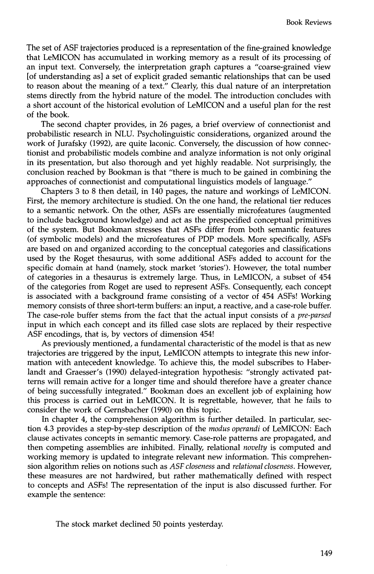The set of ASF trajectories produced is a representation of the fine-grained knowledge that LeMICON has accumulated in working memory as a result of its processing of an input text. Conversely, the interpretation graph captures a "coarse-grained view [of understanding as] a set of explicit graded semantic relationships that can be used to reason about the meaning of a text." Clearly, this dual nature of an interpretation stems directly from the hybrid nature of the model. The introduction concludes with a short account of the historical evolution of LeMICON and a useful plan for the rest of the book.

The second chapter provides, in 26 pages, a brief overview of connectionist and probabilistic research in NLU. Psycholinguistic considerations, organized around the work of Jurafsky (1992), are quite laconic. Conversely, the discussion of how connectionist and probabilistic models combine and analyze information is not only original in its presentation, but also thorough and yet highly readable. Not surprisingly, the conclusion reached by Bookman is that "there is much to be gained in combining the approaches of connectionist and computational linguistics models of language."

Chapters 3 to 8 then detail, in 140 pages, the nature and workings of LeMICON. First, the memory architecture is studied. On the one hand, the relational tier reduces to a semantic network. On the other, ASFs are essentially microfeatures (augmented to include background knowledge) and act as the prespecified conceptual primitives of the system. But Bookman stresses that ASFs differ from both semantic features (of symbolic models) and the microfeatures of PDP models. More specifically, ASFs are based on and organized according to the conceptual categories and classifications used by the Roget thesaurus, with some additional ASFs added to account for the specific domain at hand (namely, stock market 'stories'). However, the total number of categories in a thesaurus is extremely large. Thus, in LeMICON, a subset of 454 of the categories from Roget are used to represent ASFs. Consequently, each concept is associated with a background frame consisting of a vector of 454 ASFs! Working memory consists of three short-term buffers: an input, a reactive, and a case-role buffer. The case-role buffer stems from the fact that the actual input consists of a *pre-parsed*  input in which each concept and its filled case slots are replaced by their respective ASF encodings, that is, by vectors of dimension 454!

As previously mentioned, a fundamental characteristic of the model is that as new trajectories are triggered by the input, LeMICON attempts to integrate this new information with antecedent knowledge. To achieve this, the model subscribes to Haberlandt and Graesser's (1990) delayed-integration hypothesis: "strongly activated patterns will remain active for a longer time and should therefore have a greater chance of being successfully integrated." Bookman does an excellent job of explaining how this process is carried out in LeMICON. It is regrettable, however, that he fails to consider the work of Gernsbacher (1990) on this topic.

In chapter 4, the comprehension algorithm is further detailed. In particular, section 4.3 provides a step-by-step description of the *modus operandi* of LeMICON: Each clause activates concepts in semantic memory. Case-role patterns are propagated, and then competing assemblies are inhibited. Finally, relational *novelty* is computed and working memory is updated to integrate relevant new information. This comprehension algorithm relies on notions such as *ASF closeness* and *relational closeness.* However, these measures are not hardwired, but rather mathematically defined with respect to concepts and ASFs! The representation of the input is also discussed further. For example the sentence:

The stock market declined 50 points yesterday.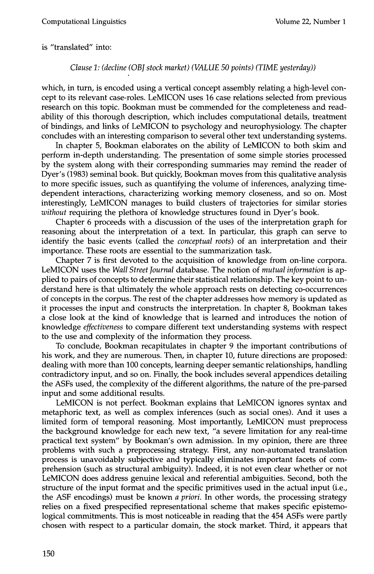#### is "translated" into:

### *Clause 1: (decline (OBJ stock market) (VALUE 50 points) (TIME yesterday))*

which, in turn, is encoded using a vertical concept assembly relating a high-level concept to its relevant case-roles. LeMICON uses 16 case relations selected from previous research on this topic. Bookman must be commended for the completeness and readability of this thorough description, which includes computational details, treatment of bindings, and links of LeMICON to psychology and neurophysiology. The chapter concludes with an interesting comparison to several other text understanding systems.

In chapter 5, Bookman elaborates on the ability of LeMICON to both skim and perform in-depth understanding. The presentation of some simple stories processed by the system along with their corresponding summaries may remind the reader of Dyer's (1983) seminal book. But quickly, Bookman moves from this qualitative analysis to more specific issues, such as quantifying the volume of inferences, analyzing timedependent interactions, characterizing working memory closeness, and so on. Most interestingly, LeMICON manages to build clusters of trajectories for similar stories *without* requiring the plethora of knowledge structures found in Dyer's book.

Chapter 6 proceeds with a discussion of the uses of the interpretation graph for reasoning about the interpretation of a text. In particular, this graph can serve to identify the basic events (called the *conceptual roots)* of an interpretation and their importance. These roots are essential to the summarization task.

Chapter 7 is first devoted to the acquisition of knowledge from on-line corpora. LeMICON uses the *Wall Street Journal* database. The notion of *mutual information* is applied to pairs of concepts to determine their statistical relationship. The key point to understand here is that ultimately the whole approach rests on detecting co-occurrences of concepts in the corpus. The rest of the chapter addresses how memory is updated as it processes the input and constructs the interpretation. In chapter 8, Bookman takes a close look at the kind of knowledge that is learned and introduces the notion of knowledge *effectiveness* to compare different text understanding systems with respect to the use and complexity of the information they process.

To conclude, Bookman recapitulates in chapter 9 the important contributions of his work, and they are numerous. Then, in chapter 10, future directions are proposed: dealing with more than 100 concepts, learning deeper semantic relationships, handling contradictory input, and so on. Finally, the book includes several appendices detailing the ASFs used, the complexity of the different algorithms, the nature of the pre-parsed input and some additional results.

LeMICON is not perfect. Bookman explains that LeMICON ignores syntax and metaphoric text, as well as complex inferences (such as social ones). And it uses a limited form of temporal reasoning. Most importantly, LeMICON must preprocess the background knowledge for each new text, "a severe limitation for any real-time practical text system" by Bookman's own admission. In my opinion, there are three problems with such a preprocessing strategy. First, any non-automated translation process is unavoidably subjective and typically eliminates important facets of comprehension (such as structural ambiguity). Indeed, it is not even clear whether or not LeMICON does address genuine lexical and referential ambiguities. Second, both the structure of the input format and the specific primitives used in the actual input (i.e., the ASF encodings) must be known *a priori.* In other words, the processing strategy relies on a fixed prespecified representational scheme that makes specific epistemological commitments. This is most noticeable in reading that the 454 ASFs were partly chosen with respect to a particular domain, the stock market. Third, it appears that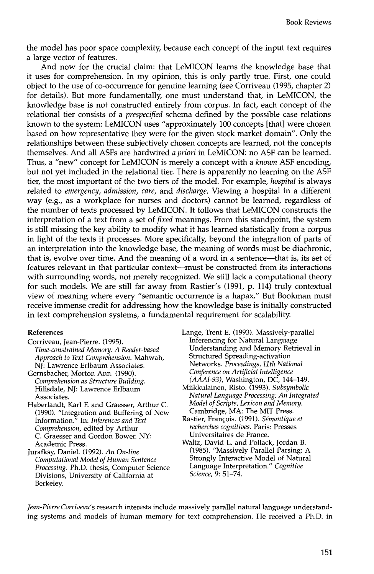the model has poor space complexity, because each concept of the input text requires a large vector of features.

And now for the crucial claim: that LeMICON learns the knowledge base that it uses for comprehension. In my opinion, this is only partly true. First, one could object to the use of co-occurrence for genuine learning (see Corriveau (1995, chapter 2) for details). But more fundamentally, one must understand that, in LeMICON, the knowledge base is not constructed entirely from corpus. In fact, each concept of the relational tier consists of a *prespecified* schema defined by the possible case relations known to the system: LeMICON uses "approximately 100 concepts [that] were chosen based on how representative they were for the given stock market domain". Only the relationships between these subjectively chosen concepts are learned, not the concepts themselves. And all ASFs are hardwired a priori in LeMICON: no ASF can be learned. Thus, a "new" concept for LeMICON is merely a concept with a known ASF encoding, but not yet included in the relational tier. There is apparently no learning on the ASF tier, the most important of the two tiers of the model. For example, *hospital* is always related to emergency, admission, care, and discharge. Viewing a hospital in a different way (e.g., as a workplace for nurses and doctors) cannot be learned, regardless of the number of texts processed by LeMICON. It follows that LeMICON constructs the interpretation of a text from a set of *fixed* meanings. From this standpoint, the system is still missing the key ability to modify what it has learned statistically from a corpus in light of the texts it processes. More specifically, beyond the integration of parts of an interpretation into the knowledge base, the meaning of words must be diachronic, that is, evolve over time. And the meaning of a word in a sentence—that is, its set of features relevant in that particular context-must be constructed from its interactions with surrounding words, not merely recognized. We still lack a computational theory for such models. We are still far away from Rastier's  $(1991, p. 114)$  truly contextual view of meaning where every "semantic occurrence is a hapax." But Bookman must receive immense credit for addressing how the knowledge base is initially constructed in text comprehension systems, a fundamental requirement for scalability.

#### **References**

- Corriveau, Jean-Pierre. (1995). Time-constrained Memory: A Reader-based Approach to Text Comprehension. Mahwah, NJ: Lawrence Erlbaum Associates.
- Gernsbacher. Morton Ann. (1990). Comprehension as Structure Building. Hillsdale, NJ: Lawrence Erlbaum Associates.
- Haberlandt, Karl F. and Graesser, Arthur C. (1990). "Integration and Buffering of New Information." In: Inferences and Text Comprehension, edited by Arthur C. Graesser and Gordon Bower. NY: Academic Press.
- Jurafksy, Daniel. (1992). An On-line Computational Model of Human Sentence Processing. Ph.D. thesis, Computer Science Divisions, University of California at Berkeley.

Lange, Trent E. (1993). Massively-parallel Inferencing for Natural Language Understanding and Memory Retrieval in Structured Spreading-activation Networks. Proceedings, 11th National Conference on Artificial Intelligence  $(AAAI-93)$ , Washington, DC, 144-149.

- Miikkulainen, Risto. (1993). Subsymbolic Natural Language Processing: An Integrated Model of Scripts, Lexicon and Memory. Cambridge, MA: The MIT Press.
- Rastier, François. (1991). Sémantique et recherches cognitives. Paris: Presses Universitaires de France.
- Waltz, David L. and Pollack, Jordan B. (1985). "Massively Parallel Parsing: A Strongly Interactive Model of Natural Language Interpretation." Cognitive Science, 9: 51-74.

Jean-Pierre Corriveau's research interests include massively parallel natural language understanding systems and models of human memory for text comprehension. He received a Ph.D. in